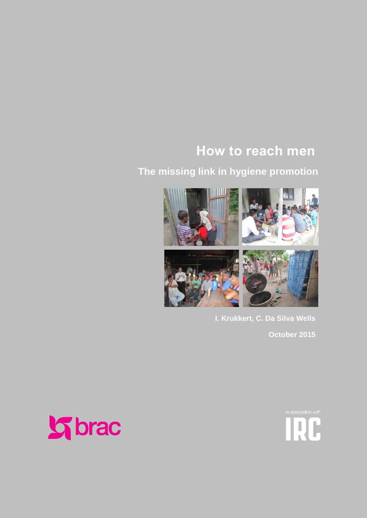# **How to reach men**

# **The missing link in hygiene promotion**



**I. Krukkert, C. Da Silva Wells October 2015**



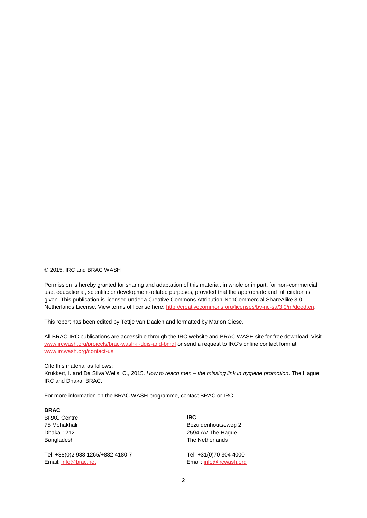© 2015, IRC and BRAC WASH

Permission is hereby granted for sharing and adaptation of this material, in whole or in part, for non-commercial use, educational, scientific or development-related purposes, provided that the appropriate and full citation is given. This publication is licensed under a Creative Commons Attribution-NonCommercial-ShareAlike 3.0 Netherlands License. View terms of license here: [http://creativecommons.org/licenses/by-nc-sa/3.0/nl/deed.en.](http://creativecommons.org/licenses/by-nc-sa/3.0/nl/deed.en)

This report has been edited by Tettje van Daalen and formatted by Marion Giese.

All BRAC-IRC publications are accessible through the IRC website and BRAC WASH site for free download. Visit [www.ircwash.org/projects/brac-wash-ii-dgis-and-bmgf](http://www.ircwash.org/projects/brac-wash-ii-dgis-and-bmgf) or send a request to IRC's online contact form at [www.ircwash.org/contact-us.](http://www.ircwash.org/contact-us)

Cite this material as follows: Krukkert, I. and Da Silva Wells, C., 2015. *How to reach men – the missing link in hygiene promotion.* The Hague: IRC and Dhaka: BRAC.

For more information on the BRAC WASH programme, contact BRAC or IRC.

**BRAC** BRAC Centre 75 Mohakhali Dhaka-1212 Bangladesh

Tel: +88(0)2 988 1265/+882 4180-7 Email[: info@brac.net](mailto:info@brac.net)

**IRC**  Bezuidenhoutseweg 2 2594 AV The Hague The Netherlands

Tel: +31(0)70 304 4000 Email[: info@ircwash.org](mailto:info@ircwash.org)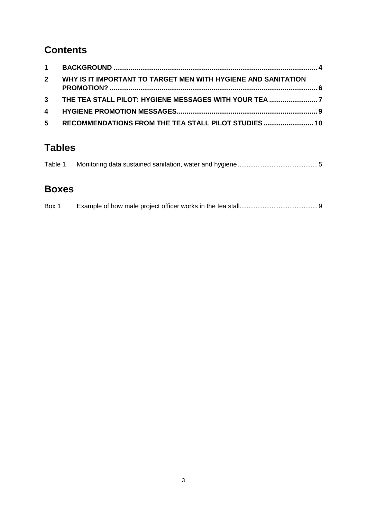## **Contents**

| $2^{\circ}$    | WHY IS IT IMPORTANT TO TARGET MEN WITH HYGIENE AND SANITATION |  |
|----------------|---------------------------------------------------------------|--|
|                | 3 THE TEA STALL PILOT: HYGIENE MESSAGES WITH YOUR TEA  7      |  |
|                |                                                               |  |
| 5 <sup>5</sup> | RECOMMENDATIONS FROM THE TEA STALL PILOT STUDIES 10           |  |

# **Tables**

| Table 1 |  |  |
|---------|--|--|
|         |  |  |

# **Boxes**

| Box 1 |  |
|-------|--|
|       |  |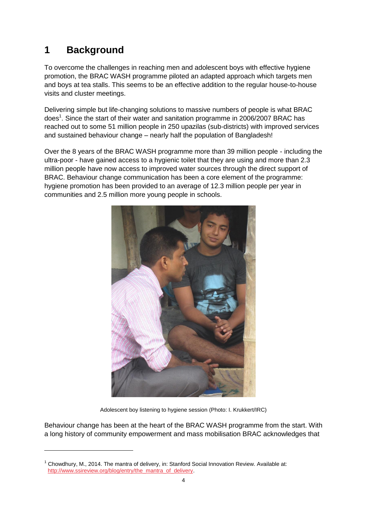## <span id="page-3-0"></span>**1 Background**

 $\overline{a}$ 

To overcome the challenges in reaching men and adolescent boys with effective hygiene promotion, the BRAC WASH programme piloted an adapted approach which targets men and boys at tea stalls. This seems to be an effective addition to the regular house-to-house visits and cluster meetings.

Delivering simple but life-changing solutions to massive numbers of people is what BRAC does<sup>1</sup>. Since the start of their water and sanitation programme in 2006/2007 BRAC has reached out to some 51 million people in 250 upazilas (sub-districts) with improved services and sustained behaviour change – nearly half the population of Bangladesh!

Over the 8 years of the BRAC WASH programme more than 39 million people - including the ultra-poor - have gained access to a hygienic toilet that they are using and more than 2.3 million people have now access to improved water sources through the direct support of BRAC. Behaviour change communication has been a core element of the programme: hygiene promotion has been provided to an average of 12.3 million people per year in communities and 2.5 million more young people in schools.



Adolescent boy listening to hygiene session (Photo: I. Krukkert/IRC)

Behaviour change has been at the heart of the BRAC WASH programme from the start. With a long history of community empowerment and mass mobilisation BRAC acknowledges that

<sup>1</sup> Chowdhury, M., 2014. The mantra of delivery, in: Stanford Social Innovation Review. Available at: [http://www.ssireview.org/blog/entry/the\\_mantra\\_of\\_delivery.](http://www.ssireview.org/blog/entry/the_mantra_of_delivery)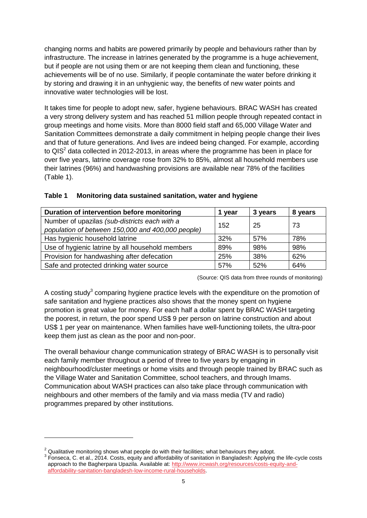changing norms and habits are powered primarily by people and behaviours rather than by infrastructure. The increase in latrines generated by the programme is a huge achievement, but if people are not using them or are not keeping them clean and functioning, these achievements will be of no use. Similarly, if people contaminate the water before drinking it by storing and drawing it in an unhygienic way, the benefits of new water points and innovative water technologies will be lost.

It takes time for people to adopt new, safer, hygiene behaviours. BRAC WASH has created a very strong delivery system and has reached 51 million people through repeated contact in group meetings and home visits. More than 8000 field staff and 65,000 Village Water and Sanitation Committees demonstrate a daily commitment in helping people change their lives and that of future generations. And lives are indeed being changed. For example, according to QIS<sup>2</sup> data collected in 2012-2013, in areas where the programme has been in place for over five years, latrine coverage rose from 32% to 85%, almost all household members use their latrines (96%) and handwashing provisions are available near 78% of the facilities [\(Table 1\)](#page-4-0).

| Duration of intervention before monitoring                                                         | vear | 3 years | 8 years |
|----------------------------------------------------------------------------------------------------|------|---------|---------|
| Number of upazilas (sub-districts each with a<br>population of between 150,000 and 400,000 people) | 152  | 25      | 73      |
| Has hygienic household latrine                                                                     | 32%  | 57%     | 78%     |
| Use of hygienic latrine by all household members                                                   | 89%  | 98%     | 98%     |
| Provision for handwashing after defecation                                                         | 25%  | 38%     | 62%     |
| Safe and protected drinking water source                                                           | 57%  | 52%     | 64%     |

#### <span id="page-4-0"></span>**Table 1 Monitoring data sustained sanitation, water and hygiene**

(Source: QIS data from three rounds of monitoring)

A costing study<sup>3</sup> comparing hygiene practice levels with the expenditure on the promotion of safe sanitation and hygiene practices also shows that the money spent on hygiene promotion is great value for money. For each half a dollar spent by BRAC WASH targeting the poorest, in return, the poor spend US\$ 9 per person on latrine construction and about US\$ 1 per year on maintenance. When families have well-functioning toilets, the ultra-poor keep them just as clean as the poor and non-poor.

The overall behaviour change communication strategy of BRAC WASH is to personally visit each family member throughout a period of three to five years by engaging in neighbourhood/cluster meetings or home visits and through people trained by BRAC such as the Village Water and Sanitation Committee, school teachers, and through Imams. Communication about WASH practices can also take place through communication with neighbours and other members of the family and via mass media (TV and radio) programmes prepared by other institutions.

-

 $2$  Qualitative monitoring shows what people do with their facilities; what behaviours they adopt.

 $3$  Fonseca, C. et al., 2014. Costs, equity and affordability of sanitation in Bangladesh: Applying the life-cycle costs approach to the Bagherpara Upazila. Available at: [http://www.ircwash.org/resources/costs-equity-and](http://www.ircwash.org/resources/costs-equity-and-affordability-sanitation-bangladesh-low-income-rural-households)[affordability-sanitation-bangladesh-low-income-rural-households.](http://www.ircwash.org/resources/costs-equity-and-affordability-sanitation-bangladesh-low-income-rural-households)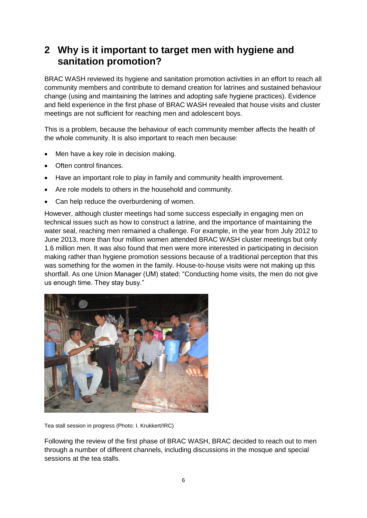#### <span id="page-5-0"></span>**2 Why is it important to target men with hygiene and sanitation promotion?**

BRAC WASH reviewed its hygiene and sanitation promotion activities in an effort to reach all community members and contribute to demand creation for latrines and sustained behaviour change (using and maintaining the latrines and adopting safe hygiene practices). Evidence and field experience in the first phase of BRAC WASH revealed that house visits and cluster meetings are not sufficient for reaching men and adolescent boys.

This is a problem, because the behaviour of each community member affects the health of the whole community. It is also important to reach men because:

- Men have a key role in decision making.
- Often control finances.
- Have an important role to play in family and community health improvement.
- Are role models to others in the household and community.
- Can help reduce the overburdening of women.

However, although cluster meetings had some success especially in engaging men on technical issues such as how to construct a latrine, and the importance of maintaining the water seal, reaching men remained a challenge. For example, in the year from July 2012 to June 2013, more than four million women attended BRAC WASH cluster meetings but only 1.6 million men. It was also found that men were more interested in participating in decision making rather than hygiene promotion sessions because of a traditional perception that this was something for the women in the family. House-to-house visits were not making up this shortfall. As one Union Manager (UM) stated: "Conducting home visits, the men do not give us enough time. They stay busy."



Tea stall session in progress (Photo: I. Krukkert/IRC)

Following the review of the first phase of BRAC WASH, BRAC decided to reach out to men through a number of different channels, including discussions in the mosque and special sessions at the tea stalls.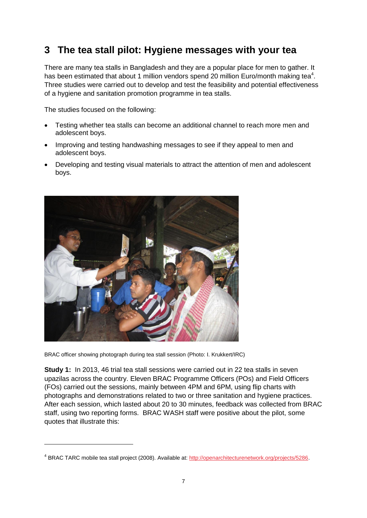## <span id="page-6-0"></span>**3 The tea stall pilot: Hygiene messages with your tea**

There are many tea stalls in Bangladesh and they are a popular place for men to gather. It has been estimated that about 1 million vendors spend 20 million Euro/month making tea<sup>4</sup>. Three studies were carried out to develop and test the feasibility and potential effectiveness of a hygiene and sanitation promotion programme in tea stalls.

The studies focused on the following:

- Testing whether tea stalls can become an additional channel to reach more men and adolescent boys.
- Improving and testing handwashing messages to see if they appeal to men and adolescent boys.
- Developing and testing visual materials to attract the attention of men and adolescent boys.



BRAC officer showing photograph during tea stall session (Photo: I. Krukkert/IRC)

-

**Study 1:** In 2013, 46 trial tea stall sessions were carried out in 22 tea stalls in seven upazilas across the country. Eleven BRAC Programme Officers (POs) and Field Officers (FOs) carried out the sessions, mainly between 4PM and 6PM, using flip charts with photographs and demonstrations related to two or three sanitation and hygiene practices. After each session, which lasted about 20 to 30 minutes, feedback was collected from BRAC staff, using two reporting forms. BRAC WASH staff were positive about the pilot, some quotes that illustrate this:

<sup>&</sup>lt;sup>4</sup> BRAC TARC mobile tea stall project (2008). Available at: [http://openarchitecturenetwork.org/projects/5286.](http://openarchitecturenetwork.org/projects/5286)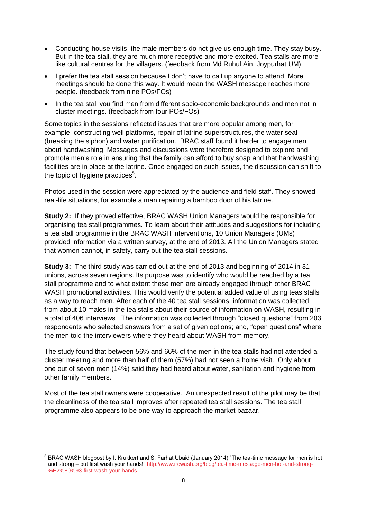- Conducting house visits, the male members do not give us enough time. They stay busy. But in the tea stall, they are much more receptive and more excited. Tea stalls are more like cultural centres for the villagers. (feedback from Md Ruhul Ain, Joypurhat UM)
- I prefer the tea stall session because I don't have to call up anyone to attend. More meetings should be done this way. It would mean the WASH message reaches more people. (feedback from nine POs/FOs)
- In the tea stall you find men from different socio-economic backgrounds and men not in cluster meetings. (feedback from four POs/FOs)

Some topics in the sessions reflected issues that are more popular among men, for example, constructing well platforms, repair of latrine superstructures, the water seal (breaking the siphon) and water purification. BRAC staff found it harder to engage men about handwashing. Messages and discussions were therefore designed to explore and promote men's role in ensuring that the family can afford to buy soap and that handwashing facilities are in place at the latrine. Once engaged on such issues, the discussion can shift to the topic of hygiene practices<sup>5</sup>.

Photos used in the session were appreciated by the audience and field staff. They showed real-life situations, for example a man repairing a bamboo door of his latrine.

**Study 2:** If they proved effective, BRAC WASH Union Managers would be responsible for organising tea stall programmes. To learn about their attitudes and suggestions for including a tea stall programme in the BRAC WASH interventions, 10 Union Managers (UMs) provided information via a written survey, at the end of 2013. All the Union Managers stated that women cannot, in safety, carry out the tea stall sessions.

**Study 3:** The third study was carried out at the end of 2013 and beginning of 2014 in 31 unions, across seven regions. Its purpose was to identify who would be reached by a tea stall programme and to what extent these men are already engaged through other BRAC WASH promotional activities. This would verify the potential added value of using teas stalls as a way to reach men. After each of the 40 tea stall sessions, information was collected from about 10 males in the tea stalls about their source of information on WASH, resulting in a total of 406 interviews. The information was collected through "closed questions" from 203 respondents who selected answers from a set of given options; and, "open questions" where the men told the interviewers where they heard about WASH from memory.

The study found that between 56% and 66% of the men in the tea stalls had not attended a cluster meeting and more than half of them (57%) had not seen a home visit. Only about one out of seven men (14%) said they had heard about water, sanitation and hygiene from other family members.

Most of the tea stall owners were cooperative. An unexpected result of the pilot may be that the cleanliness of the tea stall improves after repeated tea stall sessions. The tea stall programme also appears to be one way to approach the market bazaar.

-

<sup>&</sup>lt;sup>5</sup> BRAC WASH blogpost by I. Krukkert and S. Farhat Ubaid (January 2014) "The tea-time message for men is hot and strong – but first wash your hands!" [http://www.ircwash.org/blog/tea-time-message-men-hot-and-strong-](http://www.ircwash.org/blog/tea-time-message-men-hot-and-strong-%E2%80%93-first-wash-your-hands) [%E2%80%93-first-wash-your-hands.](http://www.ircwash.org/blog/tea-time-message-men-hot-and-strong-%E2%80%93-first-wash-your-hands)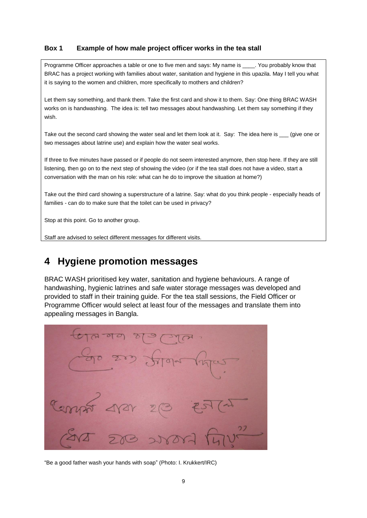#### <span id="page-8-1"></span>**Box 1 Example of how male project officer works in the tea stall**

Programme Officer approaches a table or one to five men and says: My name is \_\_\_\_. You probably know that BRAC has a project working with families about water, sanitation and hygiene in this upazila. May I tell you what it is saying to the women and children, more specifically to mothers and children?

Let them say something, and thank them. Take the first card and show it to them. Say: One thing BRAC WASH works on is handwashing. The idea is: tell two messages about handwashing. Let them say something if they wish.

Take out the second card showing the water seal and let them look at it. Say: The idea here is \_\_\_ (give one or two messages about latrine use) and explain how the water seal works.

If three to five minutes have passed or if people do not seem interested anymore, then stop here. If they are still listening, then go on to the next step of showing the video (or if the tea stall does not have a video, start a conversation with the man on his role: what can he do to improve the situation at home?)

Take out the third card showing a superstructure of a latrine. Say: what do you think people - especially heads of families - can do to make sure that the toilet can be used in privacy?

Stop at this point. Go to another group.

<span id="page-8-0"></span>Staff are advised to select different messages for different visits.

## **4 Hygiene promotion messages**

BRAC WASH prioritised key water, sanitation and hygiene behaviours. A range of handwashing, hygienic latrines and safe water storage messages was developed and provided to staff in their training guide. For the tea stall sessions, the Field Officer or Programme Officer would select at least four of the messages and translate them into appealing messages in Bangla.

"Be a good father wash your hands with soap" (Photo: I. Krukkert/IRC)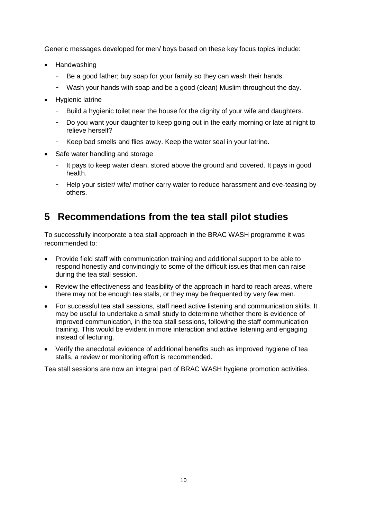Generic messages developed for men/ boys based on these key focus topics include:

- Handwashing
	- Be a good father; buy soap for your family so they can wash their hands.
	- Wash your hands with soap and be a good (clean) Muslim throughout the day.
- Hygienic latrine
	- Build a hygienic toilet near the house for the dignity of your wife and daughters.
	- Do you want your daughter to keep going out in the early morning or late at night to relieve herself?
	- Keep bad smells and flies away. Keep the water seal in your latrine.
- Safe water handling and storage
	- It pays to keep water clean, stored above the ground and covered. It pays in good health.
	- Help your sister/ wife/ mother carry water to reduce harassment and eve-teasing by others.

#### <span id="page-9-0"></span>**5 Recommendations from the tea stall pilot studies**

To successfully incorporate a tea stall approach in the BRAC WASH programme it was recommended to:

- Provide field staff with communication training and additional support to be able to respond honestly and convincingly to some of the difficult issues that men can raise during the tea stall session.
- Review the effectiveness and feasibility of the approach in hard to reach areas, where there may not be enough tea stalls, or they may be frequented by very few men.
- For successful tea stall sessions, staff need active listening and communication skills. It may be useful to undertake a small study to determine whether there is evidence of improved communication, in the tea stall sessions, following the staff communication training. This would be evident in more interaction and active listening and engaging instead of lecturing.
- Verify the anecdotal evidence of additional benefits such as improved hygiene of tea stalls, a review or monitoring effort is recommended.

Tea stall sessions are now an integral part of BRAC WASH hygiene promotion activities.